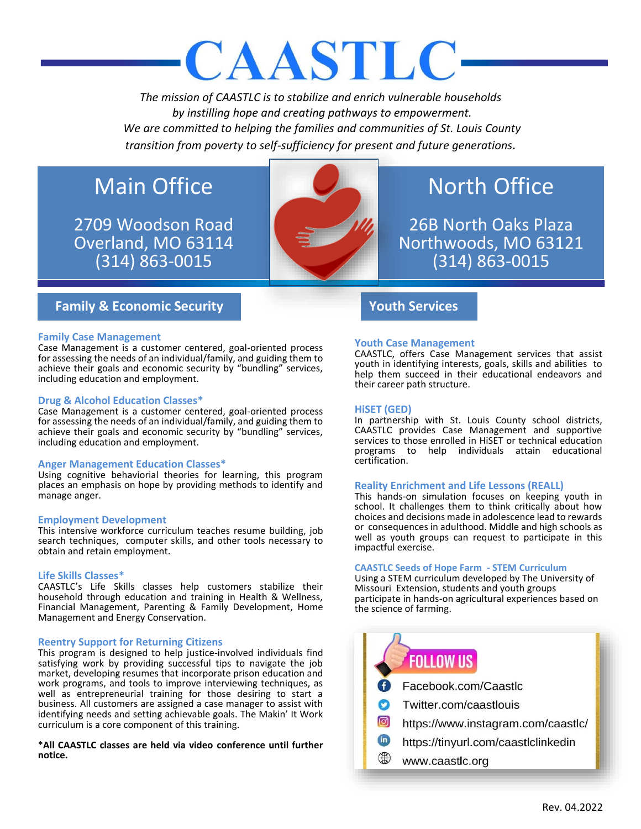# CAASTLC

*The mission of CAASTLC is to stabilize and enrich vulnerable households by instilling hope and creating pathways to empowerment. We are committed to helping the families and communities of St. Louis County transition from poverty to self-sufficiency for present and future generations.*

# Main Office

2709 Woodson Road Overland, MO 63114 (314) 863-0015



# North Office

26B North Oaks Plaza Northwoods, MO 63121 (314) 863-0015

# **Family & Economic Security Youth Services**

# **Family Case Management**

Case Management is a customer centered, goal-oriented process for assessing the needs of an individual/family, and guiding them to achieve their goals and economic security by "bundling" services, including education and employment.

# **Drug & Alcohol Education Classes\***

Case Management is a customer centered, goal-oriented process for assessing the needs of an individual/family, and guiding them to achieve their goals and economic security by "bundling" services, including education and employment.

# **Anger Management Education Classes\***

Using cognitive behaviorial theories for learning, this program places an emphasis on hope by providing methods to identify and manage anger.

# **Employment Development**

This intensive workforce curriculum teaches resume building, job search techniques, computer skills, and other tools necessary to obtain and retain employment.

# **Life Skills Classes\***

CAASTLC's Life Skills classes help customers stabilize their household through education and training in Health & Wellness, Financial Management, Parenting & Family Development, Home Management and Energy Conservation.

# **Reentry Support for Returning Citizens**

This program is designed to help justice-involved individuals find satisfying work by providing successful tips to navigate the job market, developing resumes that incorporate prison education and work programs, and tools to improve interviewing techniques, as well as entrepreneurial training for those desiring to start a business. All customers are assigned a case manager to assist with identifying needs and setting achievable goals. The Makin' It Work curriculum is a core component of this training.

\***All CAASTLC classes are held via video conference until further notice.**

# **Youth Case Management**

CAASTLC, offers Case Management services that assist youth in identifying interests, goals, skills and abilities to help them succeed in their educational endeavors and their career path structure.

# **HiSET (GED)**

In partnership with St. Louis County school districts, CAASTLC provides Case Management and supportive services to those enrolled in HiSET or technical education programs to help individuals attain educational certification.

# **Reality Enrichment and Life Lessons (REALL)**

This hands-on simulation focuses on keeping youth in school. It challenges them to think critically about how choices and decisions made in adolescence lead to rewards or consequences in adulthood. Middle and high schools as well as youth groups can request to participate in this impactful exercise.

# **CAASTLC Seeds of Hope Farm - STEM Curriculum**

Using a STEM curriculum developed by The University of Missouri Extension, students and youth groups participate in hands-on agricultural experiences based on the science of farming.